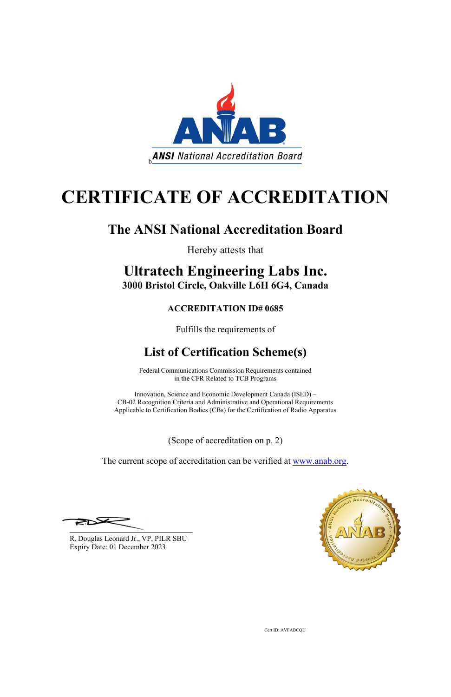

# **CERTIFICATE OF ACCREDITATION**

## **The ANSI National Accreditation Board**

Hereby attests that

### **Ultratech Engineering Labs Inc. 3000 Bristol Circle, Oakville L6H 6G4, Canada**

#### **ACCREDITATION ID# 0685**

Fulfills the requirements of

## **List of Certification Scheme(s)**

Federal Communications Commission Requirements contained in the CFR Related to TCB Programs

Innovation, Science and Economic Development Canada (ISED) – CB-02 Recognition Criteria and Administrative and Operational Requirements Applicable to Certification Bodies (CBs) for the Certification of Radio Apparatus

(Scope of accreditation on p. 2)

The current scope of accreditation can be verified at [www.anab.org.](http://www.anab.org/)



R. Douglas Leonard Jr., VP, PILR SBU Expiry Date: 01 December 2023

Cert ID: AVFABCQU